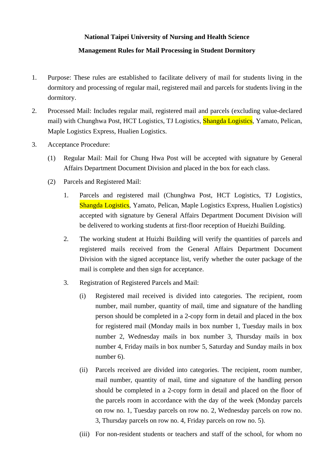## **National Taipei University of Nursing and Health Science**

## **Management Rules for Mail Processing in Student Dormitory**

- 1. Purpose: These rules are established to facilitate delivery of mail for students living in the dormitory and processing of regular mail, registered mail and parcels for students living in the dormitory.
- 2. Processed Mail: Includes regular mail, registered mail and parcels (excluding value-declared mail) with Chunghwa Post, HCT Logistics, TJ Logistics, **Shangda Logistics**, Yamato, Pelican, Maple Logistics Express, Hualien Logistics.
- 3. Acceptance Procedure:
	- (1) Regular Mail: Mail for Chung Hwa Post will be accepted with signature by General Affairs Department Document Division and placed in the box for each class.
	- (2) Parcels and Registered Mail:
		- 1. Parcels and registered mail (Chunghwa Post, HCT Logistics, TJ Logistics, Shangda Logistics, Yamato, Pelican, Maple Logistics Express, Hualien Logistics) accepted with signature by General Affairs Department Document Division will be delivered to working students at first-floor reception of Hueizhi Building.
		- 2. The working student at Huizhi Building will verify the quantities of parcels and registered mails received from the General Affairs Department Document Division with the signed acceptance list, verify whether the outer package of the mail is complete and then sign for acceptance.
		- 3. Registration of Registered Parcels and Mail:
			- (i) Registered mail received is divided into categories. The recipient, room number, mail number, quantity of mail, time and signature of the handling person should be completed in a 2-copy form in detail and placed in the box for registered mail (Monday mails in box number 1, Tuesday mails in box number 2, Wednesday mails in box number 3, Thursday mails in box number 4, Friday mails in box number 5, Saturday and Sunday mails in box number 6).
			- (ii) Parcels received are divided into categories. The recipient, room number, mail number, quantity of mail, time and signature of the handling person should be completed in a 2-copy form in detail and placed on the floor of the parcels room in accordance with the day of the week (Monday parcels on row no. 1, Tuesday parcels on row no. 2, Wednesday parcels on row no. 3, Thursday parcels on row no. 4, Friday parcels on row no. 5).
			- (iii) For non-resident students or teachers and staff of the school, for whom no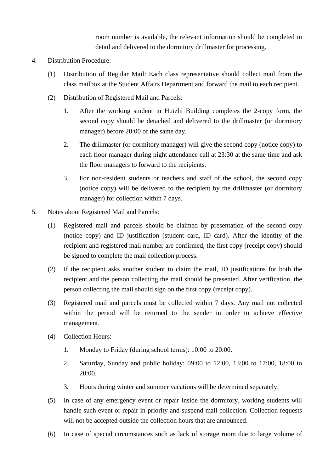room number is available, the relevant information should be completed in detail and delivered to the dormitory drillmaster for processing.

- 4. Distribution Procedure:
	- (1) Distribution of Regular Mail: Each class representative should collect mail from the class mailbox at the Student Affairs Department and forward the mail to each recipient.
	- (2) Distribution of Registered Mail and Parcels:
		- 1. After the working student in Huizhi Building completes the 2-copy form, the second copy should be detached and delivered to the drillmaster (or dormitory manager) before 20:00 of the same day.
		- 2. The drillmaster (or dormitory manager) will give the second copy (notice copy) to each floor manager during night attendance call at 23:30 at the same time and ask the floor managers to forward to the recipients.
		- 3. For non-resident students or teachers and staff of the school, the second copy (notice copy) will be delivered to the recipient by the drillmaster (or dormitory manager) for collection within 7 days.
- 5. Notes about Registered Mail and Parcels:
	- (1) Registered mail and parcels should be claimed by presentation of the second copy (notice copy) and ID justification (student card, ID card). After the identity of the recipient and registered mail number are confirmed, the first copy (receipt copy) should be signed to complete the mail collection process.
	- (2) If the recipient asks another student to claim the mail, ID justifications for both the recipient and the person collecting the mail should be presented. After verification, the person collecting the mail should sign on the first copy (receipt copy).
	- (3) Registered mail and parcels must be collected within 7 days. Any mail not collected within the period will be returned to the sender in order to achieve effective management.
	- (4) Collection Hours:
		- 1. Monday to Friday (during school terms): 10:00 to 20:00.
		- 2. Saturday, Sunday and public holiday: 09:00 to 12:00, 13:00 to 17:00, 18:00 to 20:00.
		- 3. Hours during winter and summer vacations will be determined separately.
	- (5) In case of any emergency event or repair inside the dormitory, working students will handle such event or repair in priority and suspend mail collection. Collection requests will not be accepted outside the collection hours that are announced.
	- (6) In case of special circumstances such as lack of storage room due to large volume of